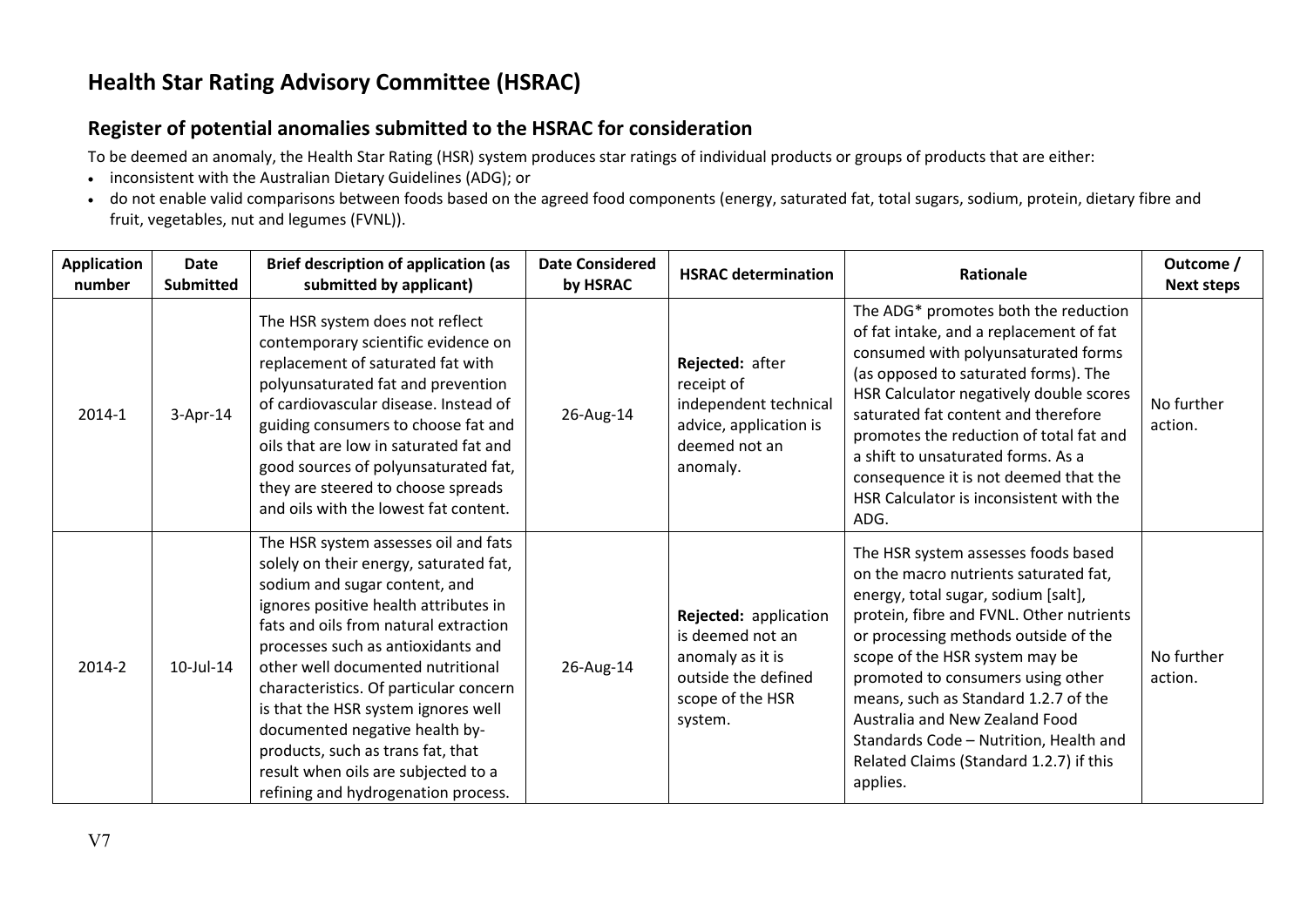## **Health Star Rating Advisory Committee (HSRAC)**

## **Register of potential anomalies submitted to the HSRAC for consideration**

To be deemed an anomaly, the Health Star Rating (HSR) system produces star ratings of individual products or groups of products that are either:

- inconsistent with the Australian Dietary Guidelines (ADG); or
- do not enable valid comparisons between foods based on the agreed food components (energy, saturated fat, total sugars, sodium, protein, dietary fibre and fruit, vegetables, nut and legumes (FVNL)).

| <b>Application</b><br>number | <b>Date</b><br><b>Submitted</b> | <b>Brief description of application (as</b><br>submitted by applicant)                                                                                                                                                                                                                                                                                                                                                                                                                                             | <b>Date Considered</b><br>by HSRAC | <b>HSRAC determination</b>                                                                                          | <b>Rationale</b>                                                                                                                                                                                                                                                                                                                                                                                                                                          | Outcome /<br><b>Next steps</b> |
|------------------------------|---------------------------------|--------------------------------------------------------------------------------------------------------------------------------------------------------------------------------------------------------------------------------------------------------------------------------------------------------------------------------------------------------------------------------------------------------------------------------------------------------------------------------------------------------------------|------------------------------------|---------------------------------------------------------------------------------------------------------------------|-----------------------------------------------------------------------------------------------------------------------------------------------------------------------------------------------------------------------------------------------------------------------------------------------------------------------------------------------------------------------------------------------------------------------------------------------------------|--------------------------------|
| 2014-1                       | $3-Apr-14$                      | The HSR system does not reflect<br>contemporary scientific evidence on<br>replacement of saturated fat with<br>polyunsaturated fat and prevention<br>of cardiovascular disease. Instead of<br>guiding consumers to choose fat and<br>oils that are low in saturated fat and<br>good sources of polyunsaturated fat,<br>they are steered to choose spreads<br>and oils with the lowest fat content.                                                                                                                 | 26-Aug-14                          | Rejected: after<br>receipt of<br>independent technical<br>advice, application is<br>deemed not an<br>anomaly.       | The ADG* promotes both the reduction<br>of fat intake, and a replacement of fat<br>consumed with polyunsaturated forms<br>(as opposed to saturated forms). The<br>HSR Calculator negatively double scores<br>saturated fat content and therefore<br>promotes the reduction of total fat and<br>a shift to unsaturated forms. As a<br>consequence it is not deemed that the<br>HSR Calculator is inconsistent with the<br>ADG.                             | No further<br>action.          |
| 2014-2                       | 10-Jul-14                       | The HSR system assesses oil and fats<br>solely on their energy, saturated fat,<br>sodium and sugar content, and<br>ignores positive health attributes in<br>fats and oils from natural extraction<br>processes such as antioxidants and<br>other well documented nutritional<br>characteristics. Of particular concern<br>is that the HSR system ignores well<br>documented negative health by-<br>products, such as trans fat, that<br>result when oils are subjected to a<br>refining and hydrogenation process. | 26-Aug-14                          | Rejected: application<br>is deemed not an<br>anomaly as it is<br>outside the defined<br>scope of the HSR<br>system. | The HSR system assesses foods based<br>on the macro nutrients saturated fat,<br>energy, total sugar, sodium [salt],<br>protein, fibre and FVNL. Other nutrients<br>or processing methods outside of the<br>scope of the HSR system may be<br>promoted to consumers using other<br>means, such as Standard 1.2.7 of the<br>Australia and New Zealand Food<br>Standards Code - Nutrition, Health and<br>Related Claims (Standard 1.2.7) if this<br>applies. | No further<br>action.          |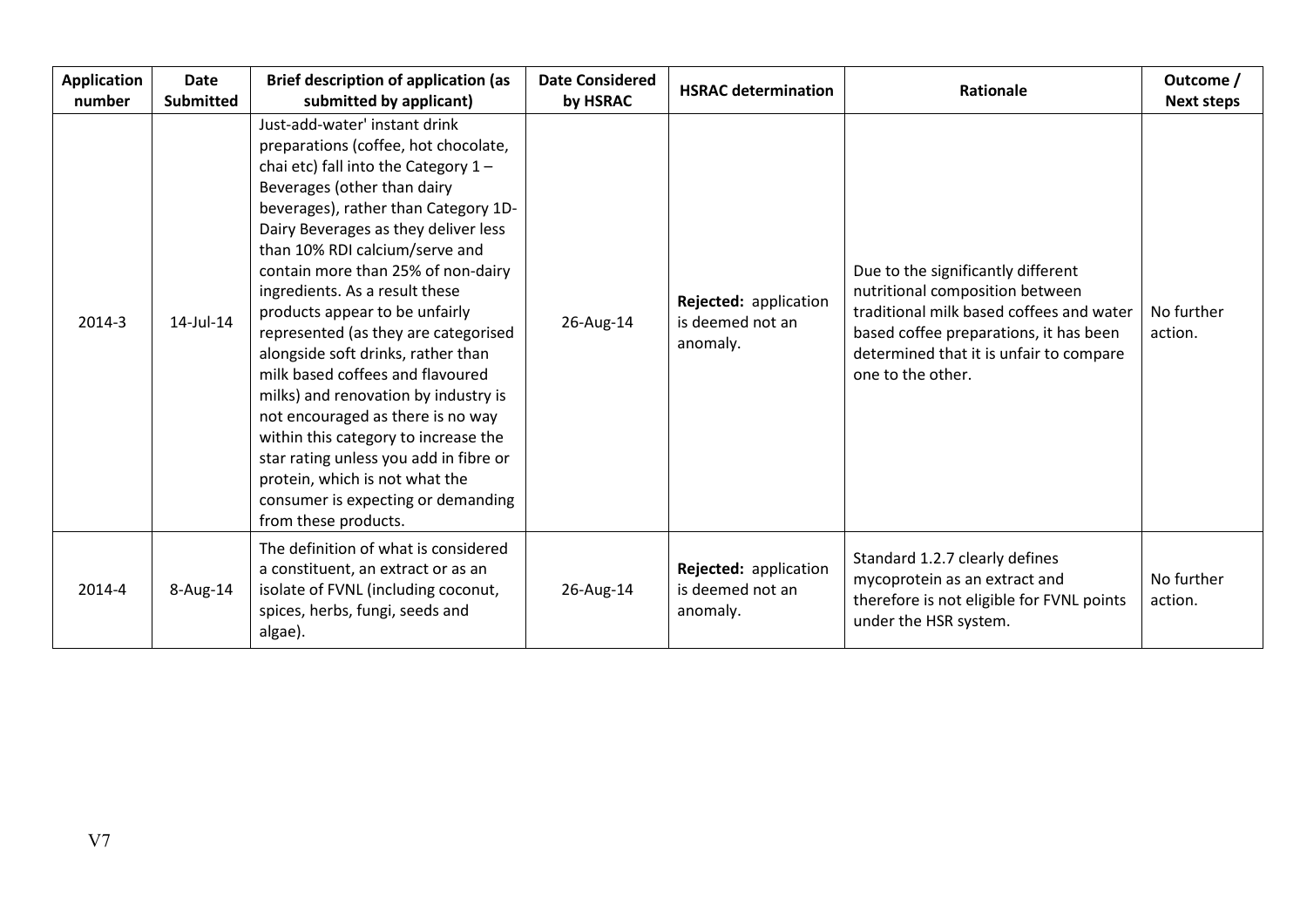| <b>Application</b><br>number | <b>Date</b><br><b>Submitted</b> | <b>Brief description of application (as</b><br>submitted by applicant)                                                                                                                                                                                                                                                                                                                                                                                                                                                                                                                                                                                                                                                                                      | <b>Date Considered</b><br>by HSRAC | <b>HSRAC determination</b>                            | Rationale                                                                                                                                                                                                                   | Outcome /<br><b>Next steps</b> |
|------------------------------|---------------------------------|-------------------------------------------------------------------------------------------------------------------------------------------------------------------------------------------------------------------------------------------------------------------------------------------------------------------------------------------------------------------------------------------------------------------------------------------------------------------------------------------------------------------------------------------------------------------------------------------------------------------------------------------------------------------------------------------------------------------------------------------------------------|------------------------------------|-------------------------------------------------------|-----------------------------------------------------------------------------------------------------------------------------------------------------------------------------------------------------------------------------|--------------------------------|
| 2014-3                       | 14-Jul-14                       | Just-add-water' instant drink<br>preparations (coffee, hot chocolate,<br>chai etc) fall into the Category $1 -$<br>Beverages (other than dairy<br>beverages), rather than Category 1D-<br>Dairy Beverages as they deliver less<br>than 10% RDI calcium/serve and<br>contain more than 25% of non-dairy<br>ingredients. As a result these<br>products appear to be unfairly<br>represented (as they are categorised<br>alongside soft drinks, rather than<br>milk based coffees and flavoured<br>milks) and renovation by industry is<br>not encouraged as there is no way<br>within this category to increase the<br>star rating unless you add in fibre or<br>protein, which is not what the<br>consumer is expecting or demanding<br>from these products. | 26-Aug-14                          | Rejected: application<br>is deemed not an<br>anomaly. | Due to the significantly different<br>nutritional composition between<br>traditional milk based coffees and water<br>based coffee preparations, it has been<br>determined that it is unfair to compare<br>one to the other. | No further<br>action.          |
| 2014-4                       | 8-Aug-14                        | The definition of what is considered<br>a constituent, an extract or as an<br>isolate of FVNL (including coconut,<br>spices, herbs, fungi, seeds and<br>algae).                                                                                                                                                                                                                                                                                                                                                                                                                                                                                                                                                                                             | 26-Aug-14                          | Rejected: application<br>is deemed not an<br>anomaly. | Standard 1.2.7 clearly defines<br>mycoprotein as an extract and<br>therefore is not eligible for FVNL points<br>under the HSR system.                                                                                       | No further<br>action.          |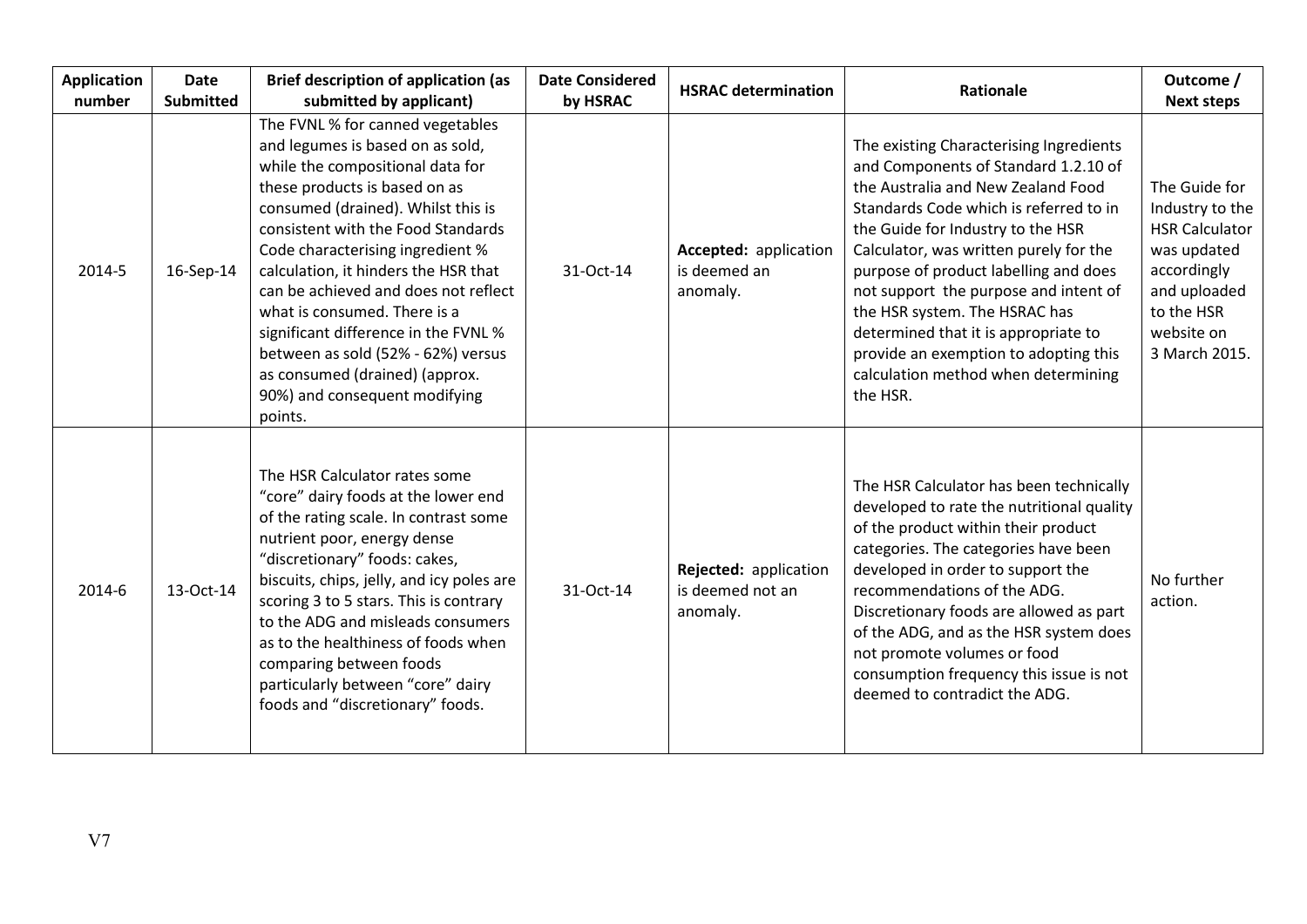| <b>Application</b><br>number | <b>Date</b><br><b>Submitted</b> | <b>Brief description of application (as</b><br>submitted by applicant)                                                                                                                                                                                                                                                                                                                                                                                                                                                                | <b>Date Considered</b><br>by HSRAC | <b>HSRAC determination</b>                            | Rationale                                                                                                                                                                                                                                                                                                                                                                                                                                                                                             | Outcome /<br><b>Next steps</b>                                                                                                                       |
|------------------------------|---------------------------------|---------------------------------------------------------------------------------------------------------------------------------------------------------------------------------------------------------------------------------------------------------------------------------------------------------------------------------------------------------------------------------------------------------------------------------------------------------------------------------------------------------------------------------------|------------------------------------|-------------------------------------------------------|-------------------------------------------------------------------------------------------------------------------------------------------------------------------------------------------------------------------------------------------------------------------------------------------------------------------------------------------------------------------------------------------------------------------------------------------------------------------------------------------------------|------------------------------------------------------------------------------------------------------------------------------------------------------|
| 2014-5                       | 16-Sep-14                       | The FVNL % for canned vegetables<br>and legumes is based on as sold,<br>while the compositional data for<br>these products is based on as<br>consumed (drained). Whilst this is<br>consistent with the Food Standards<br>Code characterising ingredient %<br>calculation, it hinders the HSR that<br>can be achieved and does not reflect<br>what is consumed. There is a<br>significant difference in the FVNL %<br>between as sold (52% - 62%) versus<br>as consumed (drained) (approx.<br>90%) and consequent modifying<br>points. | 31-Oct-14                          | Accepted: application<br>is deemed an<br>anomaly.     | The existing Characterising Ingredients<br>and Components of Standard 1.2.10 of<br>the Australia and New Zealand Food<br>Standards Code which is referred to in<br>the Guide for Industry to the HSR<br>Calculator, was written purely for the<br>purpose of product labelling and does<br>not support the purpose and intent of<br>the HSR system. The HSRAC has<br>determined that it is appropriate to<br>provide an exemption to adopting this<br>calculation method when determining<br>the HSR. | The Guide for<br>Industry to the<br><b>HSR Calculator</b><br>was updated<br>accordingly<br>and uploaded<br>to the HSR<br>website on<br>3 March 2015. |
| 2014-6                       | 13-Oct-14                       | The HSR Calculator rates some<br>"core" dairy foods at the lower end<br>of the rating scale. In contrast some<br>nutrient poor, energy dense<br>"discretionary" foods: cakes,<br>biscuits, chips, jelly, and icy poles are<br>scoring 3 to 5 stars. This is contrary<br>to the ADG and misleads consumers<br>as to the healthiness of foods when<br>comparing between foods<br>particularly between "core" dairy<br>foods and "discretionary" foods.                                                                                  | 31-Oct-14                          | Rejected: application<br>is deemed not an<br>anomaly. | The HSR Calculator has been technically<br>developed to rate the nutritional quality<br>of the product within their product<br>categories. The categories have been<br>developed in order to support the<br>recommendations of the ADG.<br>Discretionary foods are allowed as part<br>of the ADG, and as the HSR system does<br>not promote volumes or food<br>consumption frequency this issue is not<br>deemed to contradict the ADG.                                                               | No further<br>action.                                                                                                                                |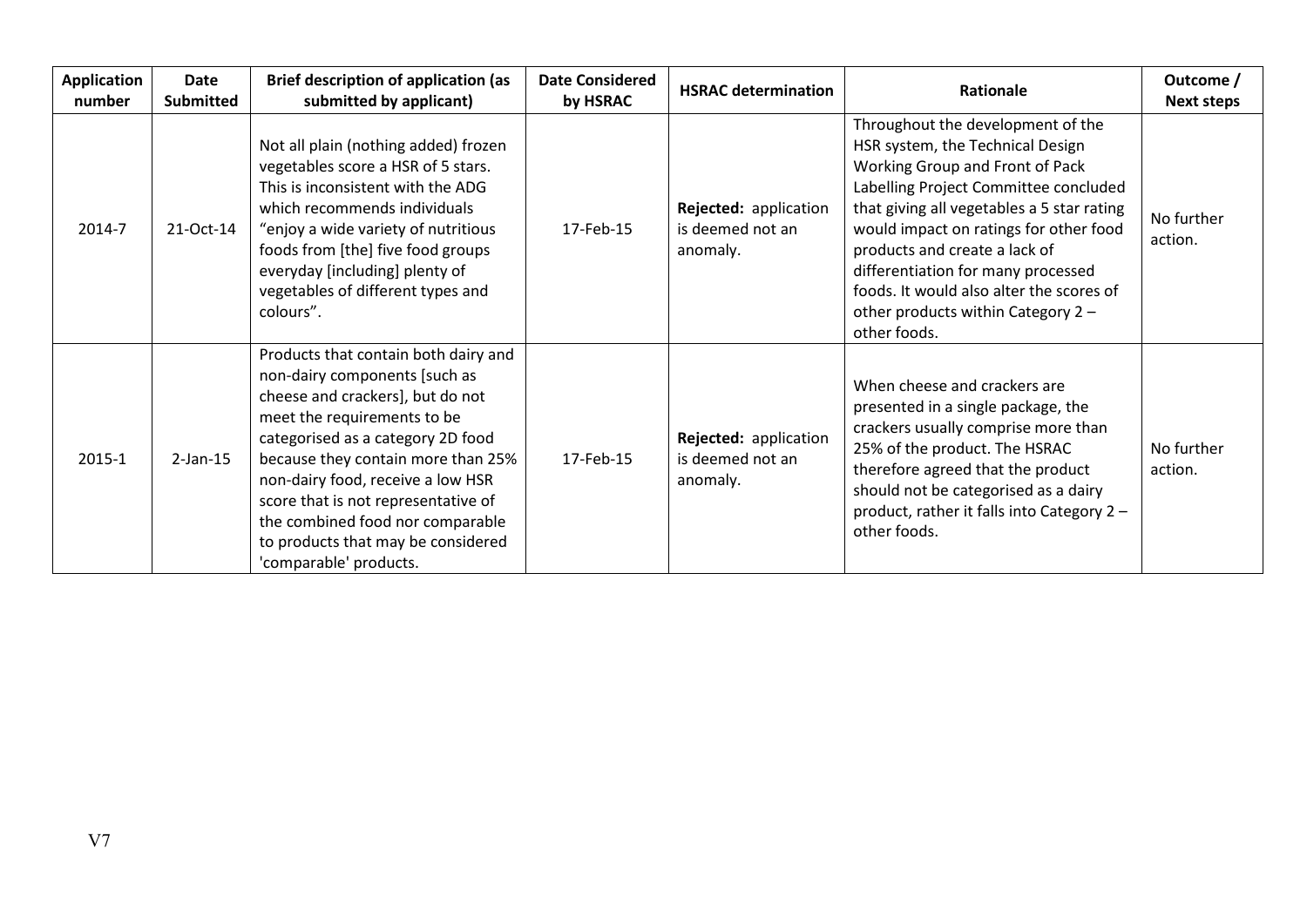| <b>Application</b><br>number | Date<br><b>Submitted</b> | <b>Brief description of application (as</b><br>submitted by applicant)                                                                                                                                                                                                                                                                                                                              | <b>Date Considered</b><br>by HSRAC | <b>HSRAC determination</b>                            | <b>Rationale</b>                                                                                                                                                                                                                                                                                                                                                                                                   | Outcome /<br><b>Next steps</b> |
|------------------------------|--------------------------|-----------------------------------------------------------------------------------------------------------------------------------------------------------------------------------------------------------------------------------------------------------------------------------------------------------------------------------------------------------------------------------------------------|------------------------------------|-------------------------------------------------------|--------------------------------------------------------------------------------------------------------------------------------------------------------------------------------------------------------------------------------------------------------------------------------------------------------------------------------------------------------------------------------------------------------------------|--------------------------------|
| 2014-7                       | 21-Oct-14                | Not all plain (nothing added) frozen<br>vegetables score a HSR of 5 stars.<br>This is inconsistent with the ADG<br>which recommends individuals<br>"enjoy a wide variety of nutritious<br>foods from [the] five food groups<br>everyday [including] plenty of<br>vegetables of different types and<br>colours".                                                                                     | 17-Feb-15                          | Rejected: application<br>is deemed not an<br>anomaly. | Throughout the development of the<br>HSR system, the Technical Design<br>Working Group and Front of Pack<br>Labelling Project Committee concluded<br>that giving all vegetables a 5 star rating<br>would impact on ratings for other food<br>products and create a lack of<br>differentiation for many processed<br>foods. It would also alter the scores of<br>other products within Category 2 -<br>other foods. | No further<br>action.          |
| 2015-1                       | $2$ -Jan-15              | Products that contain both dairy and<br>non-dairy components [such as<br>cheese and crackers], but do not<br>meet the requirements to be<br>categorised as a category 2D food<br>because they contain more than 25%<br>non-dairy food, receive a low HSR<br>score that is not representative of<br>the combined food nor comparable<br>to products that may be considered<br>'comparable' products. | 17-Feb-15                          | Rejected: application<br>is deemed not an<br>anomaly. | When cheese and crackers are<br>presented in a single package, the<br>crackers usually comprise more than<br>25% of the product. The HSRAC<br>therefore agreed that the product<br>should not be categorised as a dairy<br>product, rather it falls into Category 2 -<br>other foods.                                                                                                                              | No further<br>action.          |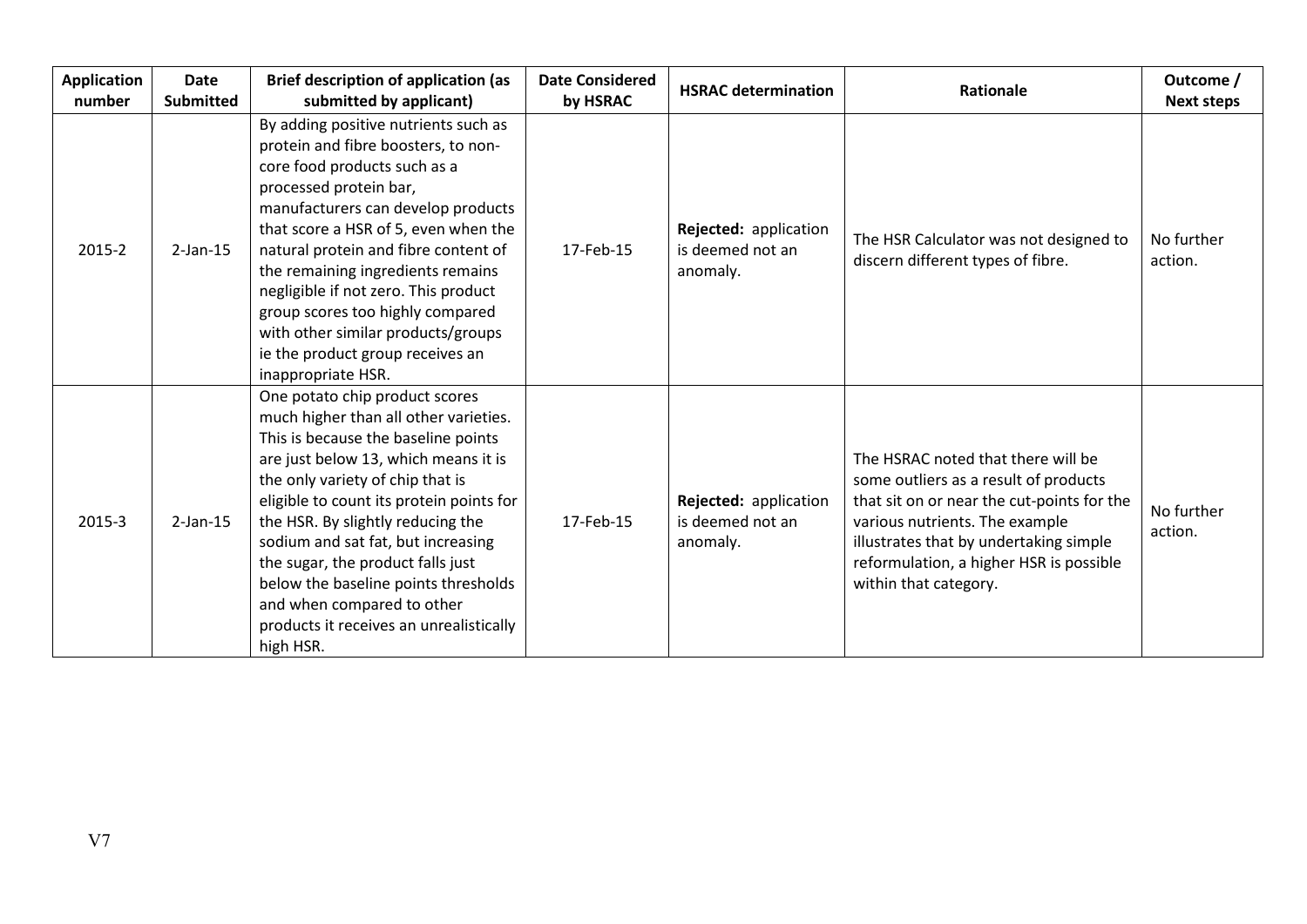| <b>Application</b><br>number | <b>Date</b><br><b>Submitted</b> | <b>Brief description of application (as</b><br>submitted by applicant)                                                                                                                                                                                                                                                                                                                                                                                                               | <b>Date Considered</b><br>by HSRAC | <b>HSRAC determination</b>                            | Rationale                                                                                                                                                                                                                                                                 | Outcome /<br><b>Next steps</b> |
|------------------------------|---------------------------------|--------------------------------------------------------------------------------------------------------------------------------------------------------------------------------------------------------------------------------------------------------------------------------------------------------------------------------------------------------------------------------------------------------------------------------------------------------------------------------------|------------------------------------|-------------------------------------------------------|---------------------------------------------------------------------------------------------------------------------------------------------------------------------------------------------------------------------------------------------------------------------------|--------------------------------|
| 2015-2                       | $2-Jan-15$                      | By adding positive nutrients such as<br>protein and fibre boosters, to non-<br>core food products such as a<br>processed protein bar,<br>manufacturers can develop products<br>that score a HSR of 5, even when the<br>natural protein and fibre content of<br>the remaining ingredients remains<br>negligible if not zero. This product<br>group scores too highly compared<br>with other similar products/groups<br>ie the product group receives an<br>inappropriate HSR.         | 17-Feb-15                          | Rejected: application<br>is deemed not an<br>anomaly. | The HSR Calculator was not designed to<br>discern different types of fibre.                                                                                                                                                                                               | No further<br>action.          |
| 2015-3                       | $2$ -Jan-15                     | One potato chip product scores<br>much higher than all other varieties.<br>This is because the baseline points<br>are just below 13, which means it is<br>the only variety of chip that is<br>eligible to count its protein points for<br>the HSR. By slightly reducing the<br>sodium and sat fat, but increasing<br>the sugar, the product falls just<br>below the baseline points thresholds<br>and when compared to other<br>products it receives an unrealistically<br>high HSR. | 17-Feb-15                          | Rejected: application<br>is deemed not an<br>anomaly. | The HSRAC noted that there will be<br>some outliers as a result of products<br>that sit on or near the cut-points for the<br>various nutrients. The example<br>illustrates that by undertaking simple<br>reformulation, a higher HSR is possible<br>within that category. | No further<br>action.          |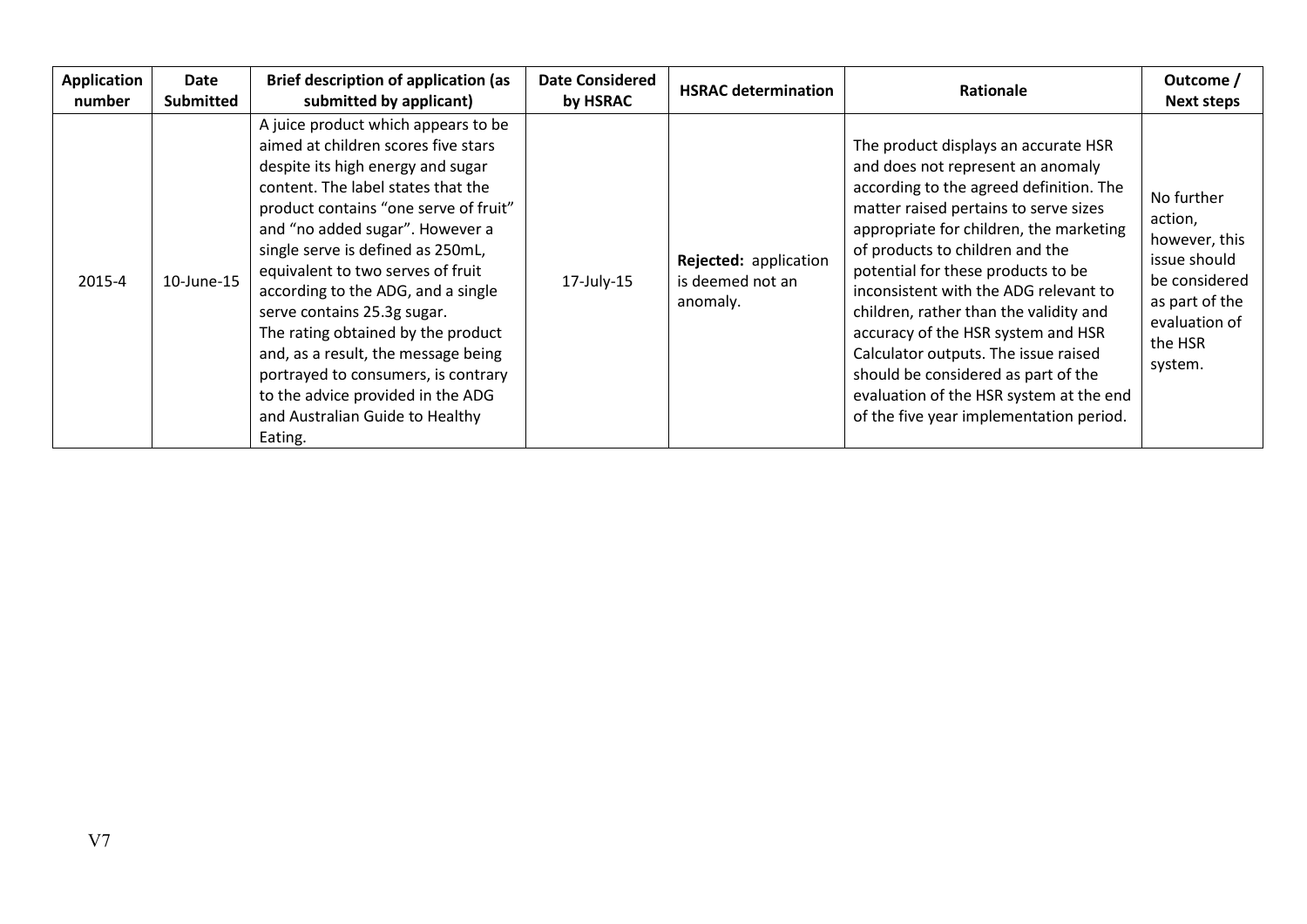| <b>Application</b><br>number | Date<br><b>Submitted</b> | <b>Brief description of application (as</b><br>submitted by applicant)                                                                                                                                                                                                                                                                                                                                                                                                                                                                                                                  | <b>Date Considered</b><br>by HSRAC | <b>HSRAC determination</b>                            | Rationale                                                                                                                                                                                                                                                                                                                                                                                                                                                                                                                                                                       | Outcome /<br><b>Next steps</b>                                                                                                   |
|------------------------------|--------------------------|-----------------------------------------------------------------------------------------------------------------------------------------------------------------------------------------------------------------------------------------------------------------------------------------------------------------------------------------------------------------------------------------------------------------------------------------------------------------------------------------------------------------------------------------------------------------------------------------|------------------------------------|-------------------------------------------------------|---------------------------------------------------------------------------------------------------------------------------------------------------------------------------------------------------------------------------------------------------------------------------------------------------------------------------------------------------------------------------------------------------------------------------------------------------------------------------------------------------------------------------------------------------------------------------------|----------------------------------------------------------------------------------------------------------------------------------|
| 2015-4                       | 10-June-15               | A juice product which appears to be<br>aimed at children scores five stars<br>despite its high energy and sugar<br>content. The label states that the<br>product contains "one serve of fruit"<br>and "no added sugar". However a<br>single serve is defined as 250mL,<br>equivalent to two serves of fruit<br>according to the ADG, and a single<br>serve contains 25.3g sugar.<br>The rating obtained by the product<br>and, as a result, the message being<br>portrayed to consumers, is contrary<br>to the advice provided in the ADG<br>and Australian Guide to Healthy<br>Eating. | $17$ -July- $15$                   | Rejected: application<br>is deemed not an<br>anomaly. | The product displays an accurate HSR<br>and does not represent an anomaly<br>according to the agreed definition. The<br>matter raised pertains to serve sizes<br>appropriate for children, the marketing<br>of products to children and the<br>potential for these products to be<br>inconsistent with the ADG relevant to<br>children, rather than the validity and<br>accuracy of the HSR system and HSR<br>Calculator outputs. The issue raised<br>should be considered as part of the<br>evaluation of the HSR system at the end<br>of the five year implementation period. | No further<br>action,<br>however, this<br>issue should<br>be considered<br>as part of the<br>evaluation of<br>the HSR<br>system. |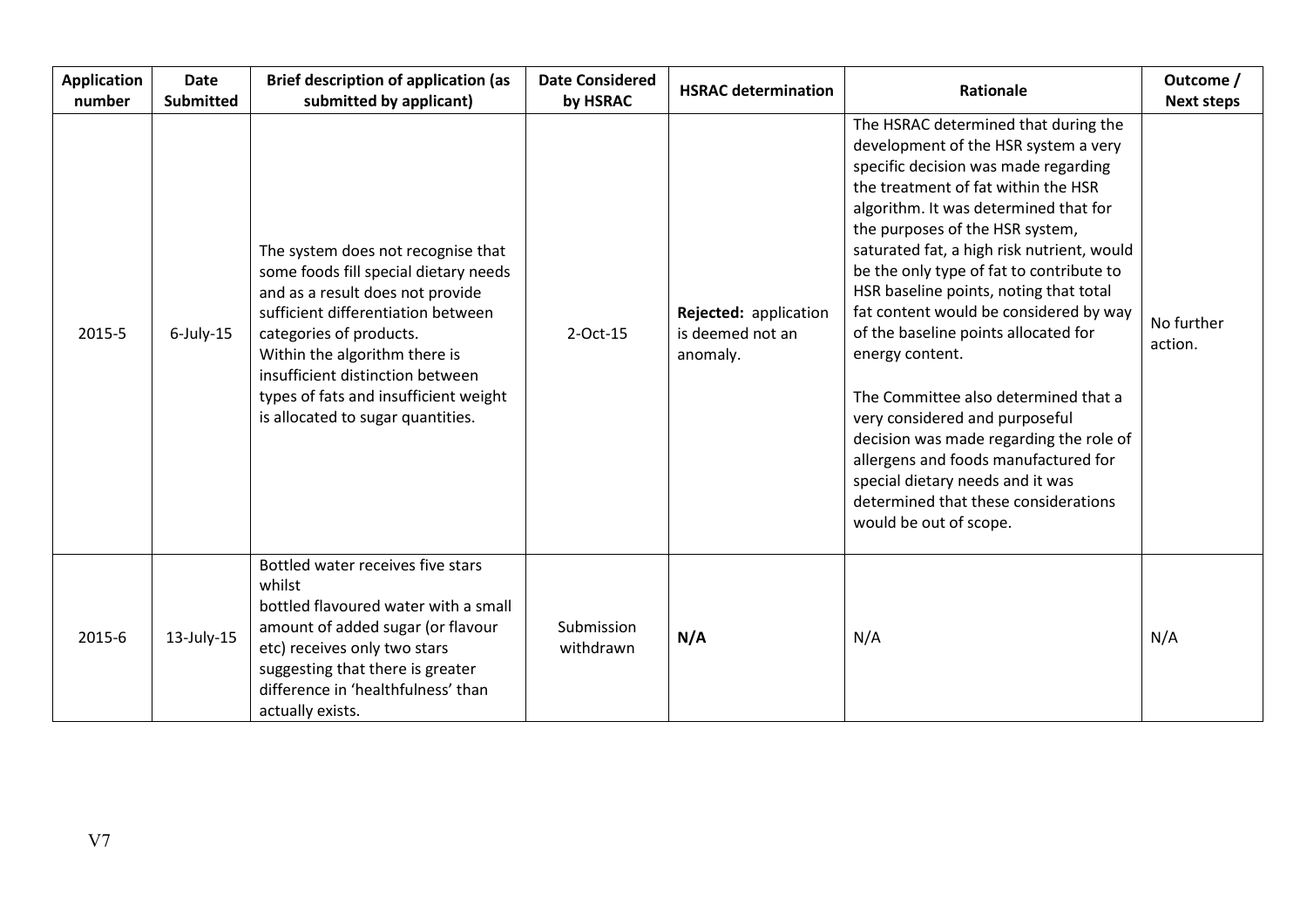| <b>Application</b><br>number | <b>Date</b><br><b>Submitted</b> | <b>Brief description of application (as</b><br>submitted by applicant)                                                                                                                                                                                                                                                              | <b>Date Considered</b><br>by HSRAC | <b>HSRAC determination</b>                            | <b>Rationale</b>                                                                                                                                                                                                                                                                                                                                                                                                                                                                                                                                                                                                                                                                                                                                    | Outcome /<br><b>Next steps</b> |
|------------------------------|---------------------------------|-------------------------------------------------------------------------------------------------------------------------------------------------------------------------------------------------------------------------------------------------------------------------------------------------------------------------------------|------------------------------------|-------------------------------------------------------|-----------------------------------------------------------------------------------------------------------------------------------------------------------------------------------------------------------------------------------------------------------------------------------------------------------------------------------------------------------------------------------------------------------------------------------------------------------------------------------------------------------------------------------------------------------------------------------------------------------------------------------------------------------------------------------------------------------------------------------------------------|--------------------------------|
| 2015-5                       | $6$ -July-15                    | The system does not recognise that<br>some foods fill special dietary needs<br>and as a result does not provide<br>sufficient differentiation between<br>categories of products.<br>Within the algorithm there is<br>insufficient distinction between<br>types of fats and insufficient weight<br>is allocated to sugar quantities. | $2$ -Oct-15                        | Rejected: application<br>is deemed not an<br>anomaly. | The HSRAC determined that during the<br>development of the HSR system a very<br>specific decision was made regarding<br>the treatment of fat within the HSR<br>algorithm. It was determined that for<br>the purposes of the HSR system,<br>saturated fat, a high risk nutrient, would<br>be the only type of fat to contribute to<br>HSR baseline points, noting that total<br>fat content would be considered by way<br>of the baseline points allocated for<br>energy content.<br>The Committee also determined that a<br>very considered and purposeful<br>decision was made regarding the role of<br>allergens and foods manufactured for<br>special dietary needs and it was<br>determined that these considerations<br>would be out of scope. | No further<br>action.          |
| 2015-6                       | $13$ -July-15                   | Bottled water receives five stars<br>whilst<br>bottled flavoured water with a small<br>amount of added sugar (or flavour<br>etc) receives only two stars<br>suggesting that there is greater<br>difference in 'healthfulness' than<br>actually exists.                                                                              | Submission<br>withdrawn            | N/A                                                   | N/A                                                                                                                                                                                                                                                                                                                                                                                                                                                                                                                                                                                                                                                                                                                                                 | N/A                            |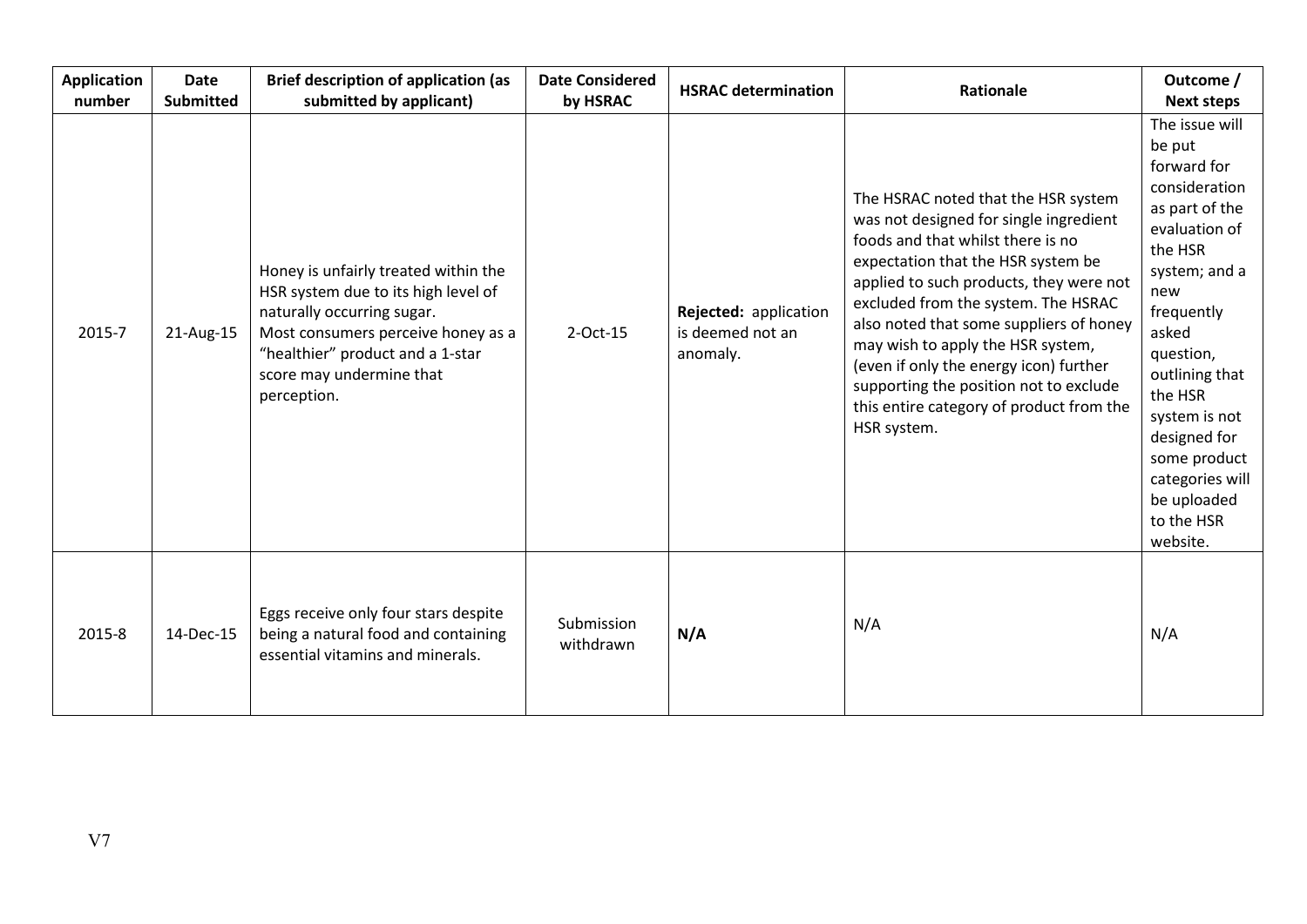| <b>Application</b><br>number | <b>Date</b><br><b>Submitted</b> | <b>Brief description of application (as</b><br>submitted by applicant)                                                                                                                                                         | <b>Date Considered</b><br>by HSRAC | <b>HSRAC determination</b>                            | Rationale                                                                                                                                                                                                                                                                                                                                                                                                                                                                 | Outcome /<br><b>Next steps</b>                                                                                                                                                                                                                                                                               |
|------------------------------|---------------------------------|--------------------------------------------------------------------------------------------------------------------------------------------------------------------------------------------------------------------------------|------------------------------------|-------------------------------------------------------|---------------------------------------------------------------------------------------------------------------------------------------------------------------------------------------------------------------------------------------------------------------------------------------------------------------------------------------------------------------------------------------------------------------------------------------------------------------------------|--------------------------------------------------------------------------------------------------------------------------------------------------------------------------------------------------------------------------------------------------------------------------------------------------------------|
| 2015-7                       | 21-Aug-15                       | Honey is unfairly treated within the<br>HSR system due to its high level of<br>naturally occurring sugar.<br>Most consumers perceive honey as a<br>"healthier" product and a 1-star<br>score may undermine that<br>perception. | 2-Oct-15                           | Rejected: application<br>is deemed not an<br>anomaly. | The HSRAC noted that the HSR system<br>was not designed for single ingredient<br>foods and that whilst there is no<br>expectation that the HSR system be<br>applied to such products, they were not<br>excluded from the system. The HSRAC<br>also noted that some suppliers of honey<br>may wish to apply the HSR system,<br>(even if only the energy icon) further<br>supporting the position not to exclude<br>this entire category of product from the<br>HSR system. | The issue will<br>be put<br>forward for<br>consideration<br>as part of the<br>evaluation of<br>the HSR<br>system; and a<br>new<br>frequently<br>asked<br>question,<br>outlining that<br>the HSR<br>system is not<br>designed for<br>some product<br>categories will<br>be uploaded<br>to the HSR<br>website. |
| 2015-8                       | 14-Dec-15                       | Eggs receive only four stars despite<br>being a natural food and containing<br>essential vitamins and minerals.                                                                                                                | Submission<br>withdrawn            | N/A                                                   | N/A                                                                                                                                                                                                                                                                                                                                                                                                                                                                       | N/A                                                                                                                                                                                                                                                                                                          |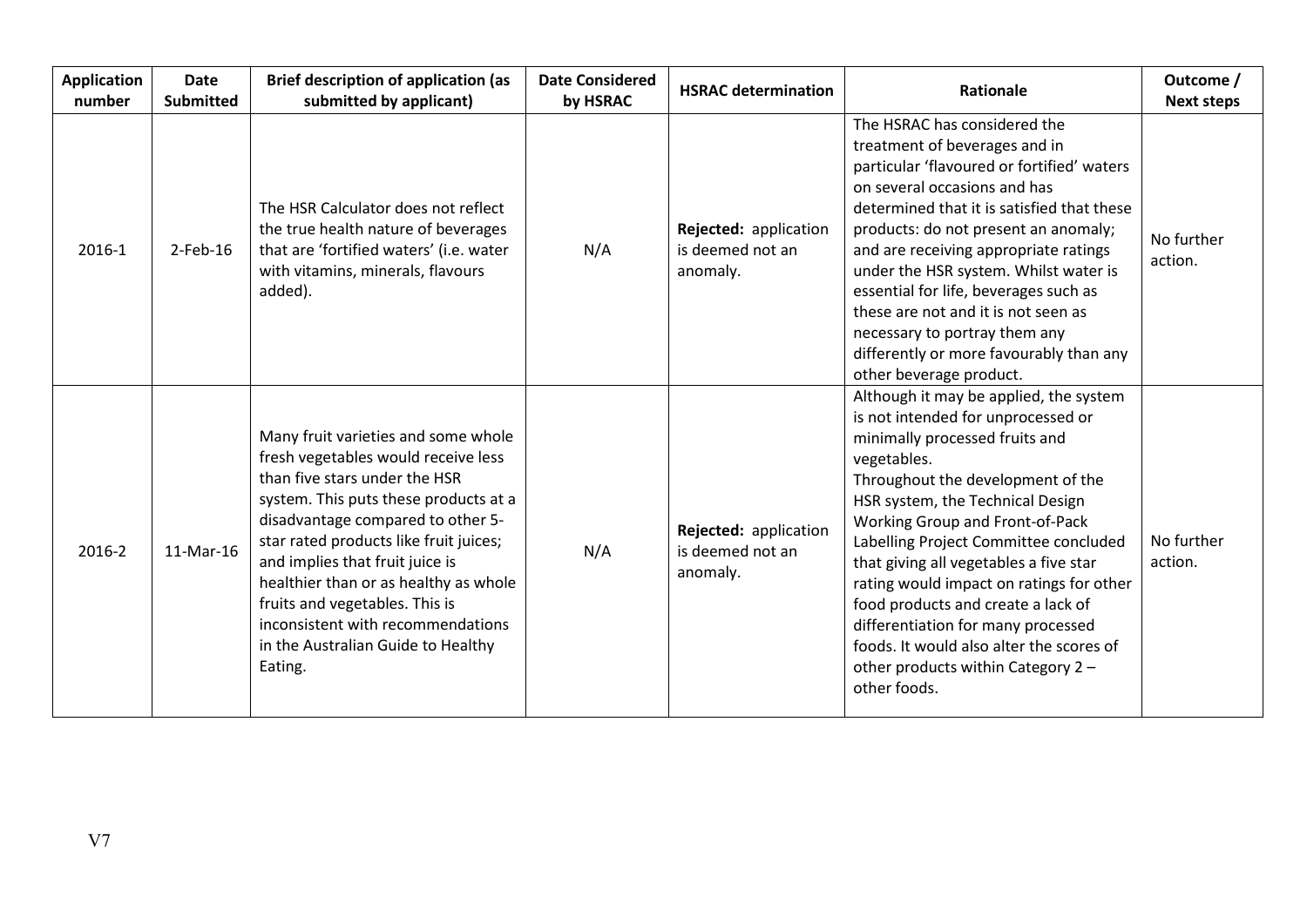| <b>Application</b><br>number | <b>Date</b><br><b>Submitted</b> | <b>Brief description of application (as</b><br>submitted by applicant)                                                                                                                                                                                                                                                                                                                                                                  | <b>Date Considered</b><br>by HSRAC | <b>HSRAC determination</b>                            | <b>Rationale</b>                                                                                                                                                                                                                                                                                                                                                                                                                                                                                                                                       | Outcome /<br><b>Next steps</b> |
|------------------------------|---------------------------------|-----------------------------------------------------------------------------------------------------------------------------------------------------------------------------------------------------------------------------------------------------------------------------------------------------------------------------------------------------------------------------------------------------------------------------------------|------------------------------------|-------------------------------------------------------|--------------------------------------------------------------------------------------------------------------------------------------------------------------------------------------------------------------------------------------------------------------------------------------------------------------------------------------------------------------------------------------------------------------------------------------------------------------------------------------------------------------------------------------------------------|--------------------------------|
| 2016-1                       | $2$ -Feb-16                     | The HSR Calculator does not reflect<br>the true health nature of beverages<br>that are 'fortified waters' (i.e. water<br>with vitamins, minerals, flavours<br>added).                                                                                                                                                                                                                                                                   | N/A                                | Rejected: application<br>is deemed not an<br>anomaly. | The HSRAC has considered the<br>treatment of beverages and in<br>particular 'flavoured or fortified' waters<br>on several occasions and has<br>determined that it is satisfied that these<br>products: do not present an anomaly;<br>and are receiving appropriate ratings<br>under the HSR system. Whilst water is<br>essential for life, beverages such as<br>these are not and it is not seen as<br>necessary to portray them any<br>differently or more favourably than any<br>other beverage product.                                             | No further<br>action.          |
| 2016-2                       | 11-Mar-16                       | Many fruit varieties and some whole<br>fresh vegetables would receive less<br>than five stars under the HSR<br>system. This puts these products at a<br>disadvantage compared to other 5-<br>star rated products like fruit juices;<br>and implies that fruit juice is<br>healthier than or as healthy as whole<br>fruits and vegetables. This is<br>inconsistent with recommendations<br>in the Australian Guide to Healthy<br>Eating. | N/A                                | Rejected: application<br>is deemed not an<br>anomaly. | Although it may be applied, the system<br>is not intended for unprocessed or<br>minimally processed fruits and<br>vegetables.<br>Throughout the development of the<br>HSR system, the Technical Design<br>Working Group and Front-of-Pack<br>Labelling Project Committee concluded<br>that giving all vegetables a five star<br>rating would impact on ratings for other<br>food products and create a lack of<br>differentiation for many processed<br>foods. It would also alter the scores of<br>other products within Category 2 -<br>other foods. | No further<br>action.          |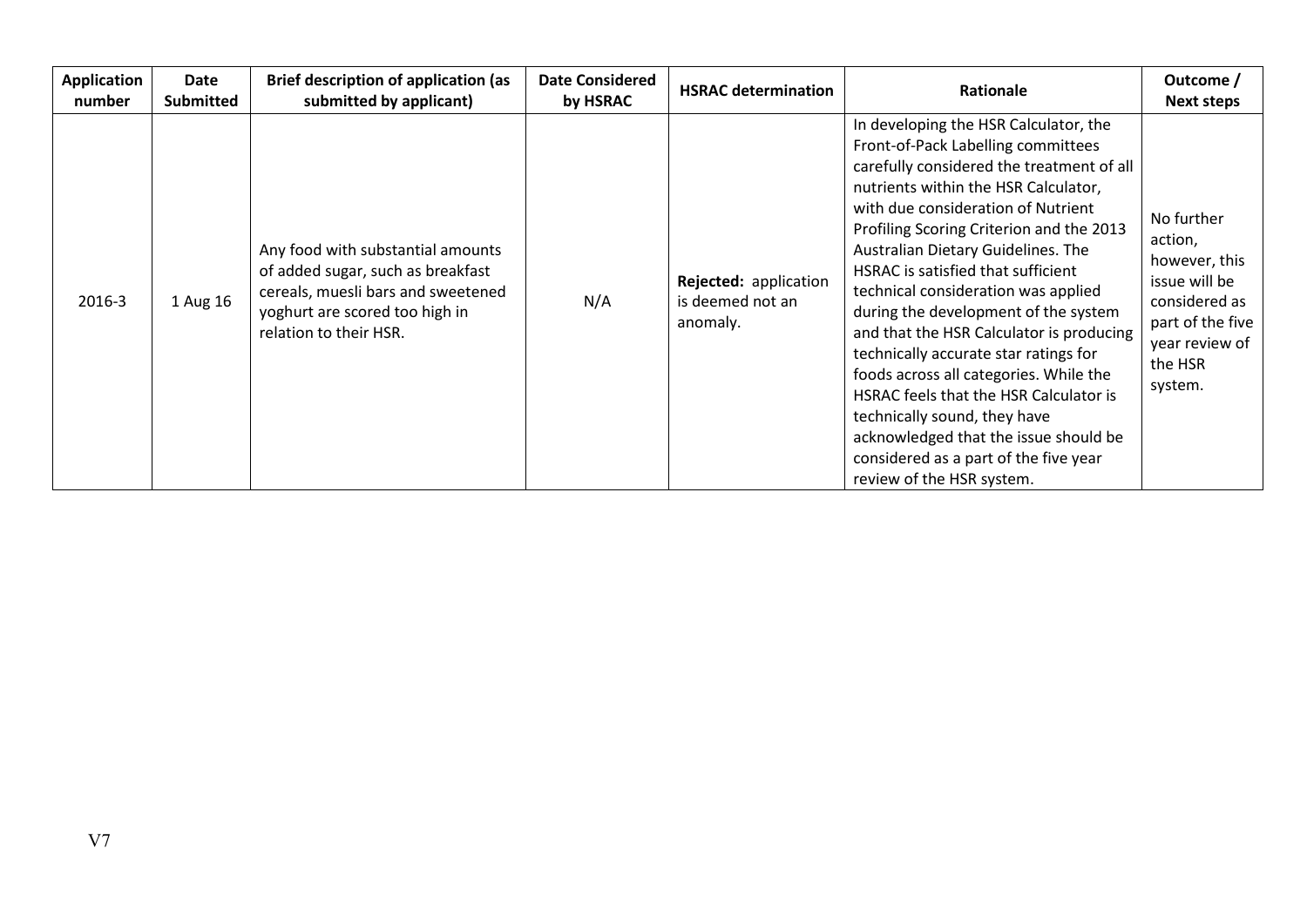| Application<br>number | <b>Date</b><br><b>Submitted</b> | <b>Brief description of application (as</b><br>submitted by applicant)                                                                                                   | <b>Date Considered</b><br>by HSRAC | <b>HSRAC determination</b>                            | Rationale                                                                                                                                                                                                                                                                                                                                                                                                                                                                                                                                                                                                                                                                                                                             | Outcome /<br><b>Next steps</b>                                                                                                       |
|-----------------------|---------------------------------|--------------------------------------------------------------------------------------------------------------------------------------------------------------------------|------------------------------------|-------------------------------------------------------|---------------------------------------------------------------------------------------------------------------------------------------------------------------------------------------------------------------------------------------------------------------------------------------------------------------------------------------------------------------------------------------------------------------------------------------------------------------------------------------------------------------------------------------------------------------------------------------------------------------------------------------------------------------------------------------------------------------------------------------|--------------------------------------------------------------------------------------------------------------------------------------|
| 2016-3                | 1 Aug 16                        | Any food with substantial amounts<br>of added sugar, such as breakfast<br>cereals, muesli bars and sweetened<br>yoghurt are scored too high in<br>relation to their HSR. | N/A                                | Rejected: application<br>is deemed not an<br>anomaly. | In developing the HSR Calculator, the<br>Front-of-Pack Labelling committees<br>carefully considered the treatment of all<br>nutrients within the HSR Calculator,<br>with due consideration of Nutrient<br>Profiling Scoring Criterion and the 2013<br>Australian Dietary Guidelines. The<br>HSRAC is satisfied that sufficient<br>technical consideration was applied<br>during the development of the system<br>and that the HSR Calculator is producing<br>technically accurate star ratings for<br>foods across all categories. While the<br>HSRAC feels that the HSR Calculator is<br>technically sound, they have<br>acknowledged that the issue should be<br>considered as a part of the five year<br>review of the HSR system. | No further<br>action,<br>however, this<br>issue will be<br>considered as<br>part of the five<br>year review of<br>the HSR<br>system. |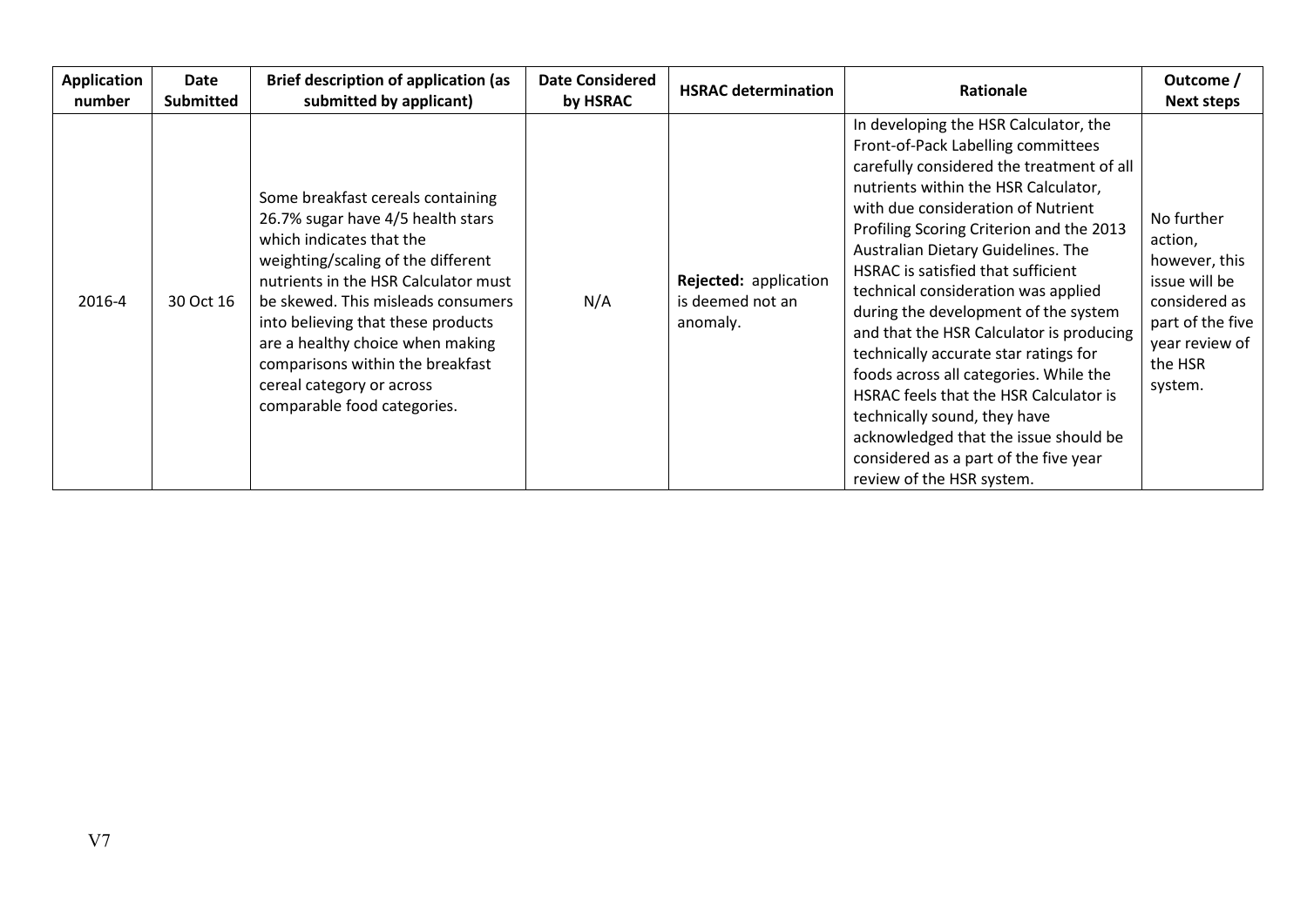| <b>Application</b><br>number | Date<br><b>Submitted</b> | <b>Brief description of application (as</b><br>submitted by applicant)                                                                                                                                                                                                                                                                                                                           | <b>Date Considered</b><br>by HSRAC | <b>HSRAC determination</b>                            | <b>Rationale</b>                                                                                                                                                                                                                                                                                                                                                                                                                                                                                                                                                                                                                                                                                                                      | Outcome /<br><b>Next steps</b>                                                                                                       |
|------------------------------|--------------------------|--------------------------------------------------------------------------------------------------------------------------------------------------------------------------------------------------------------------------------------------------------------------------------------------------------------------------------------------------------------------------------------------------|------------------------------------|-------------------------------------------------------|---------------------------------------------------------------------------------------------------------------------------------------------------------------------------------------------------------------------------------------------------------------------------------------------------------------------------------------------------------------------------------------------------------------------------------------------------------------------------------------------------------------------------------------------------------------------------------------------------------------------------------------------------------------------------------------------------------------------------------------|--------------------------------------------------------------------------------------------------------------------------------------|
| 2016-4                       | 30 Oct 16                | Some breakfast cereals containing<br>26.7% sugar have 4/5 health stars<br>which indicates that the<br>weighting/scaling of the different<br>nutrients in the HSR Calculator must<br>be skewed. This misleads consumers<br>into believing that these products<br>are a healthy choice when making<br>comparisons within the breakfast<br>cereal category or across<br>comparable food categories. | N/A                                | Rejected: application<br>is deemed not an<br>anomaly. | In developing the HSR Calculator, the<br>Front-of-Pack Labelling committees<br>carefully considered the treatment of all<br>nutrients within the HSR Calculator,<br>with due consideration of Nutrient<br>Profiling Scoring Criterion and the 2013<br>Australian Dietary Guidelines. The<br>HSRAC is satisfied that sufficient<br>technical consideration was applied<br>during the development of the system<br>and that the HSR Calculator is producing<br>technically accurate star ratings for<br>foods across all categories. While the<br>HSRAC feels that the HSR Calculator is<br>technically sound, they have<br>acknowledged that the issue should be<br>considered as a part of the five year<br>review of the HSR system. | No further<br>action,<br>however, this<br>issue will be<br>considered as<br>part of the five<br>year review of<br>the HSR<br>system. |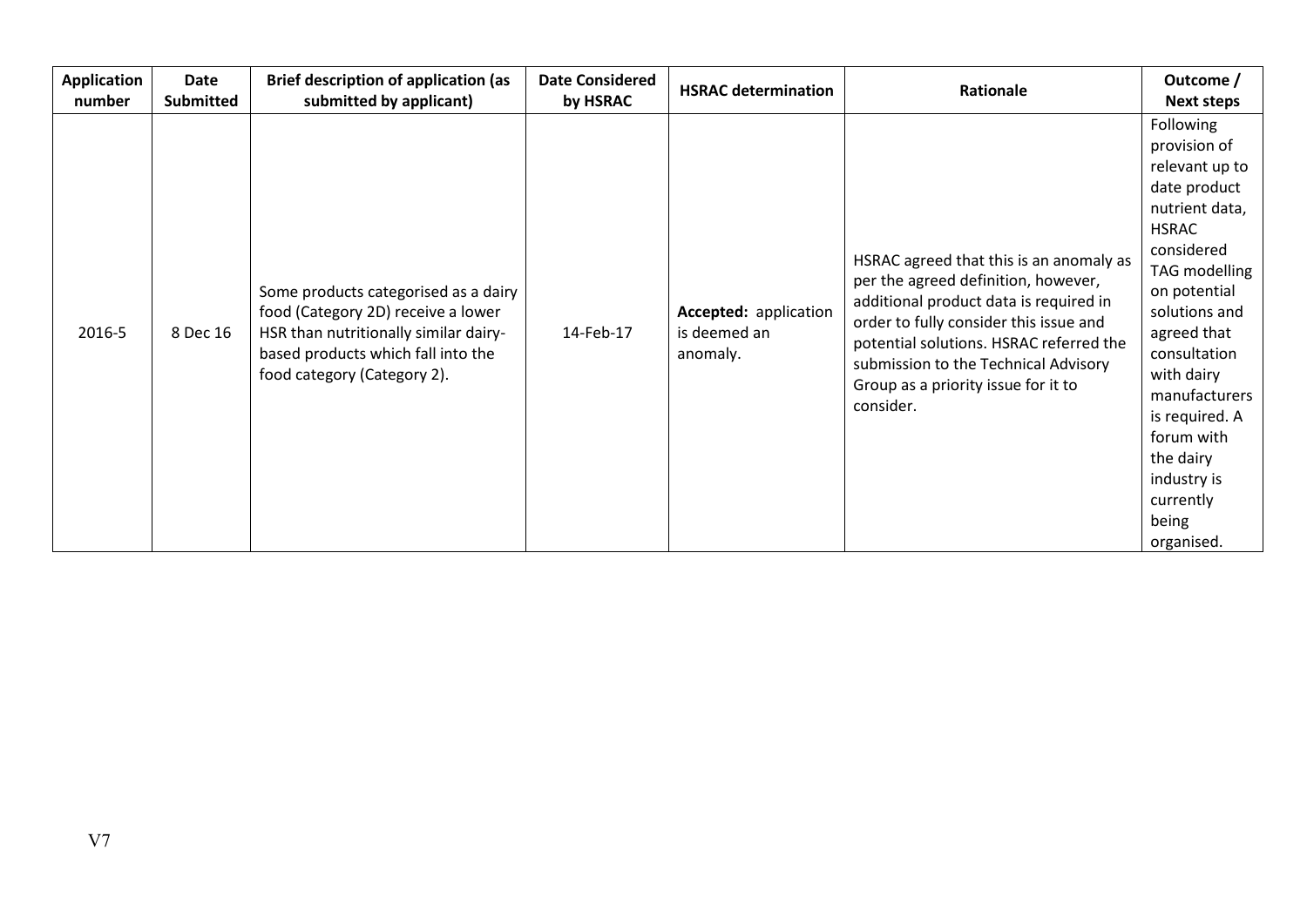| <b>Application</b><br>number | Date<br><b>Submitted</b> | <b>Brief description of application (as</b><br>submitted by applicant)                                                                                                                   | <b>Date Considered</b><br>by HSRAC | <b>HSRAC determination</b>                        | Rationale                                                                                                                                                                                                                                                                                                 | Outcome /<br><b>Next steps</b>                                                                                                                                                                                                                                                                                                     |
|------------------------------|--------------------------|------------------------------------------------------------------------------------------------------------------------------------------------------------------------------------------|------------------------------------|---------------------------------------------------|-----------------------------------------------------------------------------------------------------------------------------------------------------------------------------------------------------------------------------------------------------------------------------------------------------------|------------------------------------------------------------------------------------------------------------------------------------------------------------------------------------------------------------------------------------------------------------------------------------------------------------------------------------|
| 2016-5                       | 8 Dec 16                 | Some products categorised as a dairy<br>food (Category 2D) receive a lower<br>HSR than nutritionally similar dairy-<br>based products which fall into the<br>food category (Category 2). | 14-Feb-17                          | Accepted: application<br>is deemed an<br>anomaly. | HSRAC agreed that this is an anomaly as<br>per the agreed definition, however,<br>additional product data is required in<br>order to fully consider this issue and<br>potential solutions. HSRAC referred the<br>submission to the Technical Advisory<br>Group as a priority issue for it to<br>consider. | Following<br>provision of<br>relevant up to<br>date product<br>nutrient data,<br><b>HSRAC</b><br>considered<br><b>TAG</b> modelling<br>on potential<br>solutions and<br>agreed that<br>consultation<br>with dairy<br>manufacturers<br>is required. A<br>forum with<br>the dairy<br>industry is<br>currently<br>being<br>organised. |